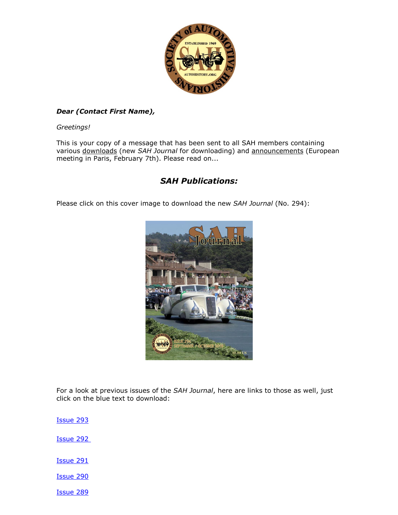

### *Dear (Contact First Name),*

*Greetings!*

This is your copy of a message that has been sent to all SAH members containing various downloads (new *SAH Journal* for downloading) and announcements (European meeting in Paris, February 7th). Please read on...

## *SAH Publications:*

Please click on this cover image to download the new *SAH Journal* (No. 294):



For a look at previous issues of the *SAH Journal*, here are links to those as well, just click on the blue text to download:

[Issue 293](https://emailfilteringservice.net/canit/urlproxy.php?_q=aHR0cDovL3IyMC5yczYubmV0L3RuLmpzcD9mPTAwMVo5ZmFHc1JFXy1XSXVXdmVkN3RucXJDek1ZdE5oUWpPd2dMVVMyU2U5QlRfMWllTGwySUtFSmVSYjR2d2ZLUFVvZVpoX3prMVlnTnZJLWdkcWtzUEhiVUR4MndZMHJQcFo2QmpXZlpMdlBXb2tncjVUZk5YaTRVaEZScUFqczhDZy1jd0FhYk55Y09nSlY3SzQwTXdYU3Q4S0RqLXR6UkUyRFNHSk80eHZEcmpkNjNlX05YUmhIeXlNUmV5T3ZwbHRKdG1faUJ0V3Blek9USGlJbk5EVDNRcUwtZDNvTkpyM1V6TWE4OVJXWjZVTS1RanJRRTRZSDJzN2FuaEhSeTQmYz00WHMyei1wRE16aVVpWlZaempTQXFJM3ZabkZKX1haM1luV3dBUU5uX0lGVnB3emRXRmZIaVE9PSZjaD1DQW1GbVp1UEQ5OHlTQnNUemI2OFJ5LTRuNzk1bHhNc3RGZEZCcFVjMnJ1dUk5eG4zSU41WkE9PQ%3D%3D&_s=bXJlaWxseQ%3D%3D&_c=abcaab87&_r=YWFjYS1vcmc%3D)

[Issue 292](https://emailfilteringservice.net/canit/urlproxy.php?_q=aHR0cDovL3IyMC5yczYubmV0L3RuLmpzcD9mPTAwMVo5ZmFHc1JFXy1XSXVXdmVkN3RucXJDek1ZdE5oUWpPd2dMVVMyU2U5QlRfMWllTGwySUtFRnFLYzdUSUZJTk9YOWtRMkNCT3Atb241UmN4ODRfeGVwOTI4ZzBGTGVyRlVYbVVjZjhjeDZGZ2s3RWh3anJSQjc2dHNoQ2xnWmhhdkdnTjN5YmQ3emFuMGI0SUpYb0NuSnhZUHRINGRNRnFmRmJ5b2w3d0tOZTlLWVRtR2QwLTdxeG5Pb2NOLXU5N1hkX3FGYUFvei1HSk9YOEIydjhUNnVKY1FuVGp1cjl3cHNuc3RyN0VJUlM2QnI1TWYxdFozYjlzVnR5aENwVG4mYz00WHMyei1wRE16aVVpWlZaempTQXFJM3ZabkZKX1haM1luV3dBUU5uX0lGVnB3emRXRmZIaVE9PSZjaD1DQW1GbVp1UEQ5OHlTQnNUemI2OFJ5LTRuNzk1bHhNc3RGZEZCcFVjMnJ1dUk5eG4zSU41WkE9PQ%3D%3D&_s=bXJlaWxseQ%3D%3D&_c=1b8b72aa&_r=YWFjYS1vcmc%3D)

[Issue 291](https://emailfilteringservice.net/canit/urlproxy.php?_q=aHR0cDovL3IyMC5yczYubmV0L3RuLmpzcD9mPTAwMVo5ZmFHc1JFXy1XSXVXdmVkN3RucXJDek1ZdE5oUWpPd2dMVVMyU2U5QlRfMWllTGwySUtFRkhJUmhSeWJCQ0xGcWlRZXd1TVM2LW5qSm03OXJCZWJ1endPMGc2dy1nTENEY05WN2Y4cVNoSU45a0RSdHVBQml6dzFpLVlOT1FUNzdxdU1Gd0gzNDdFVk9rZzN2dUtDaXp4X2lieWwzWlVBMUZFREMwTW9SZHB4aHdVbFNhSUZlZzJzWU9DQUNwajhCQ0ZhRnROSGg1Z082V25WQkFMbHFRVTgzVTBiU1NmX29US0NqRUlFbElEOXhHV0ZVYjh5U1BscUhxWjdxMTUmYz00WHMyei1wRE16aVVpWlZaempTQXFJM3ZabkZKX1haM1luV3dBUU5uX0lGVnB3emRXRmZIaVE9PSZjaD1DQW1GbVp1UEQ5OHlTQnNUemI2OFJ5LTRuNzk1bHhNc3RGZEZCcFVjMnJ1dUk5eG4zSU41WkE9PQ%3D%3D&_s=bXJlaWxseQ%3D%3D&_c=aaf6f7ee&_r=YWFjYS1vcmc%3D)

[Issue 290](https://emailfilteringservice.net/canit/urlproxy.php?_q=aHR0cDovL3IyMC5yczYubmV0L3RuLmpzcD9mPTAwMVo5ZmFHc1JFXy1XSXVXdmVkN3RucXJDek1ZdE5oUWpPd2dMVVMyU2U5QlRfMWllTGwySUtFT21KcDUtZlQyTmJacTF6MFhQcEtTZTFMZ251a2U5YllTS195ZlY2T2I4Wk5jTDVFV25RNkpheTJZUDJpMVEtV3BCeXRvTE9RX3Q2ZTFjNU9fbm5seU5NYTVHSE5VNHlRWnFVSHo0elkzWGF5b2JUMk1UT2hPWVhxRDJmN0JhMVUtMlR5ZFB6dEt3aXlGZEJpa2E4dEJLTlVXZzVIN21MYTBXNXNoMTY4S0c4eFZXY2E5R0RZNlJvMUxGcUNVdmRZNHlaVkdTZXR3dmQmYz00WHMyei1wRE16aVVpWlZaempTQXFJM3ZabkZKX1haM1luV3dBUU5uX0lGVnB3emRXRmZIaVE9PSZjaD1DQW1GbVp1UEQ5OHlTQnNUemI2OFJ5LTRuNzk1bHhNc3RGZEZCcFVjMnJ1dUk5eG4zSU41WkE9PQ%3D%3D&_s=bXJlaWxseQ%3D%3D&_c=5d986e3a&_r=YWFjYS1vcmc%3D)

[Issue 289](https://emailfilteringservice.net/canit/urlproxy.php?_q=aHR0cDovL3IyMC5yczYubmV0L3RuLmpzcD9mPTAwMVo5ZmFHc1JFXy1XSXVXdmVkN3RucXJDek1ZdE5oUWpPd2dMVVMyU2U5QlRfMWllTGwySUtFT21KcDUtZlQyTmJvWTR0NmxyZ0YtRGd2X25McU9ySjZVSXhnRHpZNDFNY0hGRDg2WWVyWUxsVkM4NEFZd2xoTmZteU9FSTVlSGw3S1FHLURhUG5xMFhTMllndm9oalVvQVg4YW1HRVltbmJOT1RHMHJLU0hBaWFVU1pTcGhTN2hWcUhsQ01leXVQdFFrOG52M1pQQ1dBTDNuZVJVTkU3SURxV1hETVM1N0dRQ05DNjFESVJ0T0cydVExQ092STBxZmJMTTVIbEJVbjkmYz00WHMyei1wRE16aVVpWlZaempTQXFJM3ZabkZKX1haM1luV3dBUU5uX0lGVnB3emRXRmZIaVE9PSZjaD1DQW1GbVp1UEQ5OHlTQnNUemI2OFJ5LTRuNzk1bHhNc3RGZEZCcFVjMnJ1dUk5eG4zSU41WkE9PQ%3D%3D&_s=bXJlaWxseQ%3D%3D&_c=1d71766e&_r=YWFjYS1vcmc%3D)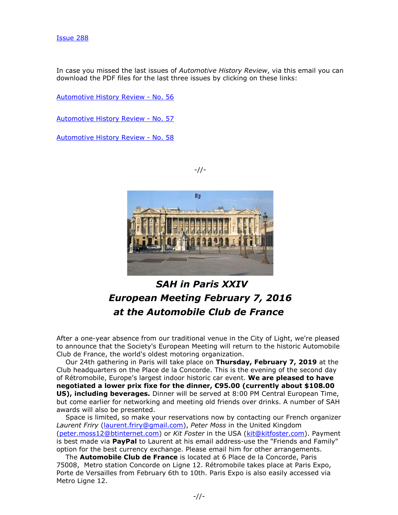In case you missed the last issues of *Automotive History Review*, via this email you can download the PDF files for the last three issues by clicking on these links:

[Automotive History Review -](https://emailfilteringservice.net/canit/urlproxy.php?_q=aHR0cDovL3IyMC5yczYubmV0L3RuLmpzcD9mPTAwMVo5ZmFHc1JFXy1XSXVXdmVkN3RucXJDek1ZdE5oUWpPd2dMVVMyU2U5QlRfMWllTGwySUtFTGNPU3lzMHRtRlJrVzdlT3JXQkN0S3RiSzNBZHFHVmJEZ0tZM1hkclBfX05zbi15V2tISHFObUk3SDR2X1hwb0ZYSTZBNDJwZDM0R1A3NTc3aktadUpjUmxJVEdwaEg3bWEtWnJVWW9Zd0Nab1d3emxnTXZZdXBKLW9WN0dYS2k3ZUpja05FdFBjWHBIQl8zc01fc3dQand2dXlkVWN6VWZrVXRnd3JuVVRQSG5OdVluVVBUT0dCVEg5a2JGdzdUdz09JmM9NFhzMnotcERNemlVaVpWWnpqU0FxSTN2Wm5GSl9YWjNZbld3QVFObl9JRlZwd3pkV0ZmSGlRPT0mY2g9Q0FtRm1adVBEOTh5U0JzVHpiNjhSeS00bjc5NWx4TXN0RmRGQnBVYzJydXVJOXhuM0lONVpBPT0%3D&_s=bXJlaWxseQ%3D%3D&_c=3062e059&_r=YWFjYS1vcmc%3D) No. 56

[Automotive History Review -](https://emailfilteringservice.net/canit/urlproxy.php?_q=aHR0cDovL3IyMC5yczYubmV0L3RuLmpzcD9mPTAwMVo5ZmFHc1JFXy1XSXVXdmVkN3RucXJDek1ZdE5oUWpPd2dMVVMyU2U5QlRfMWllTGwySUtFSE1FZFRxa0x4UkF5UTM5c3M3ejVBYjVOekltdjUtTFVEejRIbUxfNlBZV2dId09aMTJGZnItQTNkc19rMjFkazdWXzBaSkw2S0ludEd4c0dwTjMxTmVCeHBSWEpfSk1DYk5yeWVkNGsxNXB1bnp2LWNMWTBZMHdfRzR0cEtFVUNRTmZlQkMyOFBEMXRvZEw1X19tdDJJRkZINGpaUk9EbzgyWXpmV0ZrRFNQJmM9NFhzMnotcERNemlVaVpWWnpqU0FxSTN2Wm5GSl9YWjNZbld3QVFObl9JRlZwd3pkV0ZmSGlRPT0mY2g9Q0FtRm1adVBEOTh5U0JzVHpiNjhSeS00bjc5NWx4TXN0RmRGQnBVYzJydXVJOXhuM0lONVpBPT0%3D&_s=bXJlaWxseQ%3D%3D&_c=0c4d653e&_r=YWFjYS1vcmc%3D) No. 57

[Automotive History Review -](https://emailfilteringservice.net/canit/urlproxy.php?_q=aHR0cDovL3IyMC5yczYubmV0L3RuLmpzcD9mPTAwMVo5ZmFHc1JFXy1XSXVXdmVkN3RucXJDek1ZdE5oUWpPd2dMVVMyU2U5QlRfMWllTGwySUtFRzBvNWFaTWlYeUJLNXBocDZFWFJmdllvVlZXc1FiZlZVTHFjTkFnZTdHS3gtWHJoaE45MXpOQVVJTGtXNHZwOGZxWnJwNXpNX05TMmhxd3NuaVgxbEJrLVhxTm9nXy1iMnhqMFZreHczZ0xCSlRsTG90UlZELTRsMGZ1cVptUmpSMF9ILTUwR2lGTmFNN0xZQXBMOE90elFhVE1OWDhLMDFOLVY1T200Q1pvJmM9NFhzMnotcERNemlVaVpWWnpqU0FxSTN2Wm5GSl9YWjNZbld3QVFObl9JRlZwd3pkV0ZmSGlRPT0mY2g9Q0FtRm1adVBEOTh5U0JzVHpiNjhSeS00bjc5NWx4TXN0RmRGQnBVYzJydXVJOXhuM0lONVpBPT0%3D&_s=bXJlaWxseQ%3D%3D&_c=4c2ae22d&_r=YWFjYS1vcmc%3D) No. 58





# *SAH in Paris XXIV European Meeting February 7, 2016 at the Automobile Club de France*

After a one-year absence from our traditional venue in the City of Light, we're pleased to announce that the Society's European Meeting will return to the historic Automobile Club de France, the world's oldest motoring organization.

 Our 24th gathering in Paris will take place on **Thursday, February 7, 2019** at the Club headquarters on the Place de la Concorde. This is the evening of the second day of Rétromobile, Europe's largest indoor historic car event. **We are pleased to have negotiated a lower prix fixe for the dinner, €95.00 (currently about \$108.00 US), including beverages.** Dinner will be served at 8:00 PM Central European Time, but come earlier for networking and meeting old friends over drinks. A number of SAH awards will also be presented.

 Space is limited, so make your reservations now by contacting our French organizer *Laurent Friry* [\(laurent.friry@gmail.com\)](mailto:laurent.friry@gmail.com), *Peter Moss* in the United Kingdom [\(peter.moss12@btinternet.com\)](mailto:peter.moss12@btinternet.com) or *Kit Foster* in the USA [\(kit@kitfoster.com\)](mailto:kit@kitfoster.com). Payment is best made via **PayPal** to Laurent at his email address-use the "Friends and Family" option for the best currency exchange. Please email him for other arrangements.

 The **Automobile Club de France** is located at 6 Place de la Concorde, Paris 75008, Metro station Concorde on Ligne 12. Rétromobile takes place at Paris Expo, Porte de Versailles from February 6th to 10th. Paris Expo is also easily accessed via Metro Ligne 12.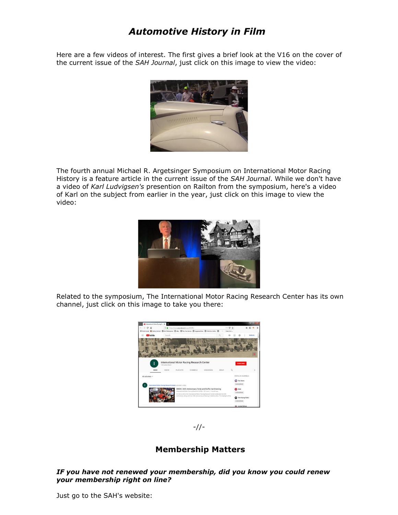# *Automotive History in Film*

Here are a few videos of interest. The first gives a brief look at the V16 on the cover of the current issue of the *SAH Journal*, just click on this image to view the video:



The fourth annual Michael R. Argetsinger Symposium on International Motor Racing History is a feature article in the current issue of the *SAH Journal*. While we don't have a video of *Karl Ludvigsen's* presention on Railton from the symposium, here's a video of Karl on the subject from earlier in the year, just click on this image to view the video:



Related to the symposium, The International Motor Racing Research Center has its own channel, just click on this image to take you there:





### **Membership Matters**

#### *IF you have not renewed your membership, did you know you could renew your membership right on line?*

Just go to the SAH's website: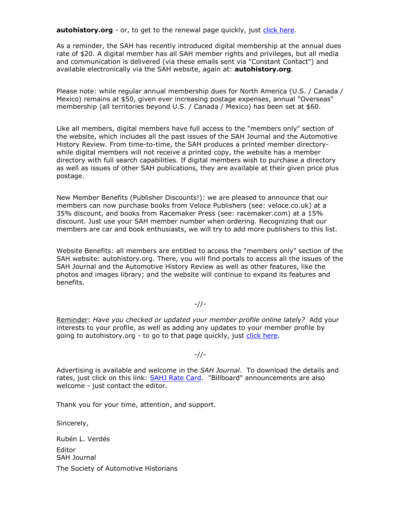**autohistory.org** - or, to get to the renewal page quickly, just [click here.](https://emailfilteringservice.net/canit/urlproxy.php?_q=aHR0cDovL3IyMC5yczYubmV0L3RuLmpzcD9mPTAwMVo5ZmFHc1JFXy1XSXVXdmVkN3RucXJDek1ZdE5oUWpPd2dMVVMyU2U5QlRfMWllTGwySUtFS3hXMGR0MmpfaHBEWC1WeE1UcDhWRVBLY3NESkRyVXVIZ3BoMFpaaFdoZEZiTmtHbHpzTkxyVkpwMno2a2lCcVZVNDdzZ1gzYmllemJnZWZRTXJuVHBYWmRPbS1jVUJJNmF5T1lOWDM4Uk1VMzVmUEVURmh6OTRWeWtFd2VlS0FGMUtWN0VhcnR1OURsamNYZnlRVHprPSZjPTRYczJ6LXBETXppVWlaVlp6alNBcUkzdlpuRkpfWFozWW5Xd0FRTm5fSUZWcHd6ZFdGZkhpUT09JmNoPUNBbUZtWnVQRDk4eVNCc1R6YjY4UnktNG43OTVseE1zdEZkRkJwVWMycnV1STl4bjNJTjVaQT09&_s=bXJlaWxseQ%3D%3D&_c=7ef5e0a8&_r=YWFjYS1vcmc%3D)

As a reminder, the SAH has recently introduced digital membership at the annual dues rate of \$20. A digital member has all SAH member rights and privileges, but all media and communication is delivered (via these emails sent via "Constant Contact") and available electronically via the SAH website, again at: **autohistory.org**.

Please note: while regular annual membership dues for North America (U.S. / Canada / Mexico) remains at \$50, given ever increasing postage expenses, annual "Overseas" membership (all territories beyond U.S. / Canada / Mexico) has been set at \$60.

Like all members, digital members have full access to the "members only" section of the website, which includes all the past issues of the SAH Journal and the Automotive History Review. From time-to-time, the SAH produces a printed member directorywhile digital members will not receive a printed copy, the website has a member directory with full search capabilities. If digital members wish to purchase a directory as well as issues of other SAH publications, they are available at their given price plus postage.

New Member Benefits (Publisher Discounts!): we are pleased to announce that our members can now purchase books from Veloce Publishers (see: veloce.co.uk) at a 35% discount, and books from Racemaker Press (see: racemaker.com) at a 15% discount. Just use your SAH member number when ordering. Recognizing that our members are car and book enthusiasts, we will try to add more publishers to this list.

Website Benefits: all members are entitled to access the "members only" section of the SAH website: autohistory.org. There, you will find portals to access all the issues of the SAH Journal and the Automotive History Review as well as other features, like the photos and images library; and the website will continue to expand its features and benefits.

-//-

Reminder: *Have you checked or updated your member profile online lately?* Add your interests to your profile, as well as adding any updates to your member profile by going to autohistory.org - to go to that page quickly, just [click here.](https://emailfilteringservice.net/canit/urlproxy.php?_q=aHR0cDovL3IyMC5yczYubmV0L3RuLmpzcD9mPTAwMVo5ZmFHc1JFXy1XSXVXdmVkN3RucXJDek1ZdE5oUWpPd2dMVVMyU2U5QlRfMWllTGwySUtFS3hXMGR0MmpfaHBEWC1WeE1UcDhWRVBLY3NESkRyVXVIZ3BoMFpaaFdoZEZiTmtHbHpzTkxyVkpwMno2a2lCcVZVNDdzZ1gzYmllemJnZWZRTXJuVHBYWmRPbS1jVUJJNmF5T1lOWDM4Uk1VMzVmUEVURmh6OTRWeWtFd2VlS0FGMUtWN0VhcnR1OURsamNYZnlRVHprPSZjPTRYczJ6LXBETXppVWlaVlp6alNBcUkzdlpuRkpfWFozWW5Xd0FRTm5fSUZWcHd6ZFdGZkhpUT09JmNoPUNBbUZtWnVQRDk4eVNCc1R6YjY4UnktNG43OTVseE1zdEZkRkJwVWMycnV1STl4bjNJTjVaQT09&_s=bXJlaWxseQ%3D%3D&_c=7ef5e0a8&_r=YWFjYS1vcmc%3D)

#### -//-

Advertising is available and welcome in the *SAH Journal*. To download the details and rates, just click on this link: **SAHJ Rate Card.** "Billboard" announcements are also welcome - just contact the editor.

Thank you for your time, attention, and support.

Sincerely,

Rubén L. Verdés Editor SAH Journal The Society of Automotive Historians